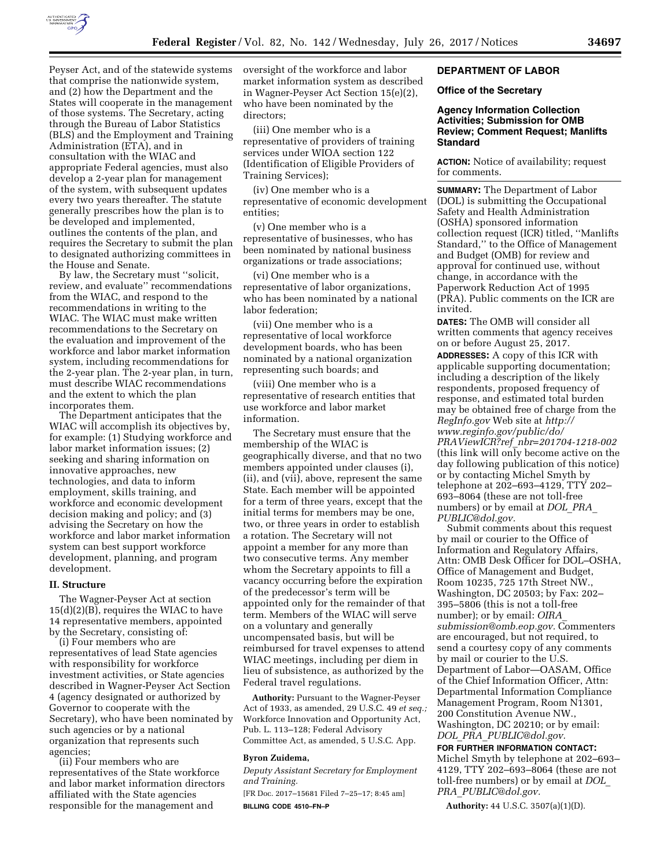

Peyser Act, and of the statewide systems that comprise the nationwide system, and (2) how the Department and the States will cooperate in the management of those systems. The Secretary, acting through the Bureau of Labor Statistics (BLS) and the Employment and Training Administration (ETA), and in consultation with the WIAC and appropriate Federal agencies, must also develop a 2-year plan for management of the system, with subsequent updates every two years thereafter. The statute generally prescribes how the plan is to be developed and implemented, outlines the contents of the plan, and requires the Secretary to submit the plan to designated authorizing committees in the House and Senate.

By law, the Secretary must ''solicit, review, and evaluate'' recommendations from the WIAC, and respond to the recommendations in writing to the WIAC. The WIAC must make written recommendations to the Secretary on the evaluation and improvement of the workforce and labor market information system, including recommendations for the 2-year plan. The 2-year plan, in turn, must describe WIAC recommendations and the extent to which the plan incorporates them.

The Department anticipates that the WIAC will accomplish its objectives by, for example: (1) Studying workforce and labor market information issues; (2) seeking and sharing information on innovative approaches, new technologies, and data to inform employment, skills training, and workforce and economic development decision making and policy; and (3) advising the Secretary on how the workforce and labor market information system can best support workforce development, planning, and program development.

### **II. Structure**

The Wagner-Peyser Act at section 15(d)(2)(B), requires the WIAC to have 14 representative members, appointed by the Secretary, consisting of:

(i) Four members who are representatives of lead State agencies with responsibility for workforce investment activities, or State agencies described in Wagner-Peyser Act Section 4 (agency designated or authorized by Governor to cooperate with the Secretary), who have been nominated by such agencies or by a national organization that represents such agencies;

(ii) Four members who are representatives of the State workforce and labor market information directors affiliated with the State agencies responsible for the management and

oversight of the workforce and labor market information system as described in Wagner-Peyser Act Section 15(e)(2), who have been nominated by the directors;

(iii) One member who is a representative of providers of training services under WIOA section 122 (Identification of Eligible Providers of Training Services);

(iv) One member who is a representative of economic development entities;

(v) One member who is a representative of businesses, who has been nominated by national business organizations or trade associations;

(vi) One member who is a representative of labor organizations, who has been nominated by a national labor federation;

(vii) One member who is a representative of local workforce development boards, who has been nominated by a national organization representing such boards; and

(viii) One member who is a representative of research entities that use workforce and labor market information.

The Secretary must ensure that the membership of the WIAC is geographically diverse, and that no two members appointed under clauses (i), (ii), and (vii), above, represent the same State. Each member will be appointed for a term of three years, except that the initial terms for members may be one, two, or three years in order to establish a rotation. The Secretary will not appoint a member for any more than two consecutive terms. Any member whom the Secretary appoints to fill a vacancy occurring before the expiration of the predecessor's term will be appointed only for the remainder of that term. Members of the WIAC will serve on a voluntary and generally uncompensated basis, but will be reimbursed for travel expenses to attend WIAC meetings, including per diem in lieu of subsistence, as authorized by the Federal travel regulations.

**Authority:** Pursuant to the Wagner-Peyser Act of 1933, as amended, 29 U.S.C. 49 *et seq.;*  Workforce Innovation and Opportunity Act, Pub. L. 113–128; Federal Advisory Committee Act, as amended, 5 U.S.C. App.

### **Byron Zuidema,**

*Deputy Assistant Secretary for Employment and Training.* 

[FR Doc. 2017–15681 Filed 7–25–17; 8:45 am] **BILLING CODE 4510–FN–P** 

### **DEPARTMENT OF LABOR**

### **Office of the Secretary**

# **Agency Information Collection Activities; Submission for OMB Review; Comment Request; Manlifts Standard**

**ACTION:** Notice of availability; request for comments.

**SUMMARY:** The Department of Labor (DOL) is submitting the Occupational Safety and Health Administration (OSHA) sponsored information collection request (ICR) titled, ''Manlifts Standard,'' to the Office of Management and Budget (OMB) for review and approval for continued use, without change, in accordance with the Paperwork Reduction Act of 1995 (PRA). Public comments on the ICR are invited.

**DATES:** The OMB will consider all written comments that agency receives on or before August 25, 2017.

**ADDRESSES:** A copy of this ICR with applicable supporting documentation; including a description of the likely respondents, proposed frequency of response, and estimated total burden may be obtained free of charge from the *RegInfo.gov* Web site at *[http://](http://www.reginfo.gov/public/do/PRAViewICR?ref_nbr=201704-1218-002) [www.reginfo.gov/public/do/](http://www.reginfo.gov/public/do/PRAViewICR?ref_nbr=201704-1218-002)  PRAViewICR?ref*\_*[nbr=201704-1218-002](http://www.reginfo.gov/public/do/PRAViewICR?ref_nbr=201704-1218-002)*  (this link will only become active on the day following publication of this notice) or by contacting Michel Smyth by telephone at 202–693–4129, TTY 202– 693–8064 (these are not toll-free numbers) or by email at *[DOL](mailto:DOL_PRA_PUBLIC@dol.gov)*\_*PRA*\_ *[PUBLIC@dol.gov.](mailto:DOL_PRA_PUBLIC@dol.gov)* 

Submit comments about this request by mail or courier to the Office of Information and Regulatory Affairs, Attn: OMB Desk Officer for DOL–OSHA, Office of Management and Budget, Room 10235, 725 17th Street NW., Washington, DC 20503; by Fax: 202– 395–5806 (this is not a toll-free number); or by email: *[OIRA](mailto:OIRA_submission@omb.eop.gov)*\_ *[submission@omb.eop.gov.](mailto:OIRA_submission@omb.eop.gov)* Commenters are encouraged, but not required, to send a courtesy copy of any comments by mail or courier to the U.S. Department of Labor—OASAM, Office of the Chief Information Officer, Attn: Departmental Information Compliance Management Program, Room N1301, 200 Constitution Avenue NW., Washington, DC 20210; or by email: *DOL*\_*PRA*\_*[PUBLIC@dol.gov.](mailto:DOL_PRA_PUBLIC@dol.gov)* 

**FOR FURTHER INFORMATION CONTACT:**  Michel Smyth by telephone at 202–693– 4129, TTY 202–693–8064 (these are not toll-free numbers) or by email at *[DOL](mailto:DOL_PRA_PUBLIC@dol.gov)*\_ *PRA*\_*[PUBLIC@dol.gov.](mailto:DOL_PRA_PUBLIC@dol.gov)* 

**Authority:** 44 U.S.C. 3507(a)(1)(D).